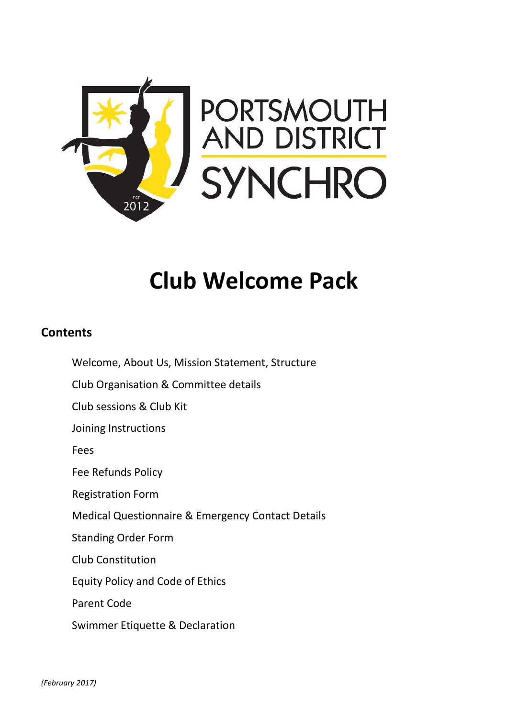

# **Club Welcome Pack**

# **Contents**

Welcome, About Us, Mission Statement, Structure Club Organisation & Committee details Club sessions & Club Kit Joining Instructions Fees Fee Refunds Policy Registration Form Medical Questionnaire & Emergency Contact Details Standing Order Form Club Constitution Equity Policy and Code of Ethics Parent Code Swimmer Etiquette & Declaration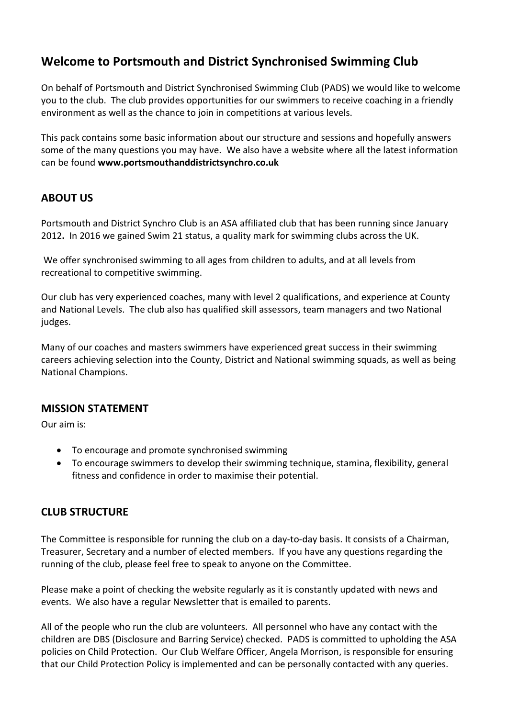# **Welcome to Portsmouth and District Synchronised Swimming Club**

On behalf of Portsmouth and District Synchronised Swimming Club (PADS) we would like to welcome you to the club. The club provides opportunities for our swimmers to receive coaching in a friendly environment as well as the chance to join in competitions at various levels.

This pack contains some basic information about our structure and sessions and hopefully answers some of the many questions you may have. We also have a website where all the latest information can be found **www.portsmouthanddistrictsynchro.co.uk**

# **ABOUT US**

Portsmouth and District Synchro Club is an ASA affiliated club that has been running since January 2012**.** In 2016 we gained Swim 21 status, a quality mark for swimming clubs across the UK.

We offer synchronised swimming to all ages from children to adults, and at all levels from recreational to competitive swimming.

Our club has very experienced coaches, many with level 2 qualifications, and experience at County and National Levels. The club also has qualified skill assessors, team managers and two National judges.

Many of our coaches and masters swimmers have experienced great success in their swimming careers achieving selection into the County, District and National swimming squads, as well as being National Champions.

# **MISSION STATEMENT**

Our aim is:

- To encourage and promote synchronised swimming
- To encourage swimmers to develop their swimming technique, stamina, flexibility, general fitness and confidence in order to maximise their potential.

# **CLUB STRUCTURE**

The Committee is responsible for running the club on a day-to-day basis. It consists of a Chairman, Treasurer, Secretary and a number of elected members. If you have any questions regarding the running of the club, please feel free to speak to anyone on the Committee.

Please make a point of checking the website regularly as it is constantly updated with news and events. We also have a regular Newsletter that is emailed to parents.

All of the people who run the club are volunteers. All personnel who have any contact with the children are DBS (Disclosure and Barring Service) checked. PADS is committed to upholding the ASA policies on Child Protection. Our Club Welfare Officer, Angela Morrison, is responsible for ensuring that our Child Protection Policy is implemented and can be personally contacted with any queries.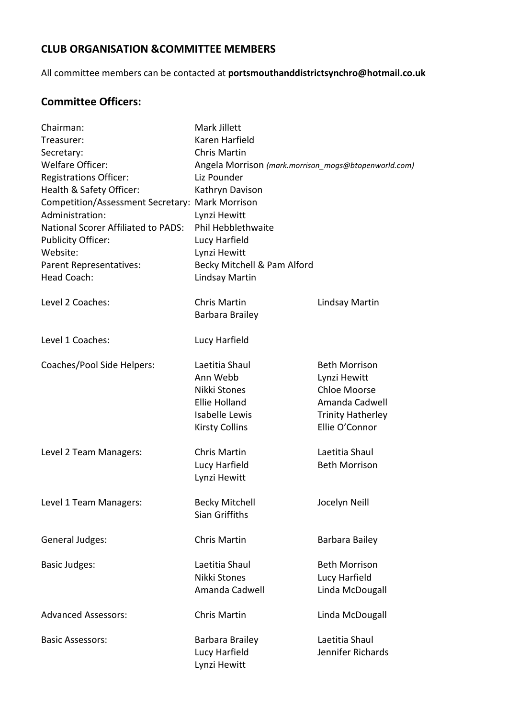# **CLUB ORGANISATION &COMMITTEE MEMBERS**

All committee members can be contacted at **portsmouthanddistrictsynchro@hotmail.co.uk**

# **Committee Officers:**

| Chairman:                                       | Mark Jillett                                         |                          |
|-------------------------------------------------|------------------------------------------------------|--------------------------|
| Treasurer:                                      | Karen Harfield                                       |                          |
| Secretary:                                      | <b>Chris Martin</b>                                  |                          |
| <b>Welfare Officer:</b>                         | Angela Morrison (mark.morrison_mogs@btopenworld.com) |                          |
| <b>Registrations Officer:</b>                   | Liz Pounder                                          |                          |
| Health & Safety Officer:                        | Kathryn Davison                                      |                          |
| Competition/Assessment Secretary: Mark Morrison |                                                      |                          |
| Administration:                                 | Lynzi Hewitt                                         |                          |
| <b>National Scorer Affiliated to PADS:</b>      | Phil Hebblethwaite                                   |                          |
| <b>Publicity Officer:</b>                       | Lucy Harfield                                        |                          |
| Website:                                        | Lynzi Hewitt                                         |                          |
| Parent Representatives:                         | Becky Mitchell & Pam Alford                          |                          |
| <b>Head Coach:</b>                              | <b>Lindsay Martin</b>                                |                          |
| Level 2 Coaches:                                | <b>Chris Martin</b>                                  | Lindsay Martin           |
|                                                 | Barbara Brailey                                      |                          |
| Level 1 Coaches:                                | Lucy Harfield                                        |                          |
| Coaches/Pool Side Helpers:                      | Laetitia Shaul                                       | <b>Beth Morrison</b>     |
|                                                 | Ann Webb                                             | Lynzi Hewitt             |
|                                                 | Nikki Stones                                         | <b>Chloe Moorse</b>      |
|                                                 | <b>Ellie Holland</b>                                 | Amanda Cadwell           |
|                                                 | <b>Isabelle Lewis</b>                                | <b>Trinity Hatherley</b> |
|                                                 | <b>Kirsty Collins</b>                                | Ellie O'Connor           |
| Level 2 Team Managers:                          | <b>Chris Martin</b>                                  | Laetitia Shaul           |
|                                                 | Lucy Harfield                                        | <b>Beth Morrison</b>     |
|                                                 | Lynzi Hewitt                                         |                          |
| Level 1 Team Managers:                          | <b>Becky Mitchell</b>                                | Jocelyn Neill            |
|                                                 | Sian Griffiths                                       |                          |
| General Judges:                                 | <b>Chris Martin</b>                                  | Barbara Bailey           |
| <b>Basic Judges:</b>                            | Laetitia Shaul                                       | <b>Beth Morrison</b>     |
|                                                 | Nikki Stones                                         | Lucy Harfield            |
|                                                 | Amanda Cadwell                                       | Linda McDougall          |
| <b>Advanced Assessors:</b>                      | <b>Chris Martin</b>                                  | Linda McDougall          |
| <b>Basic Assessors:</b>                         | Barbara Brailey                                      | Laetitia Shaul           |
|                                                 | Lucy Harfield                                        | Jennifer Richards        |
|                                                 | Lynzi Hewitt                                         |                          |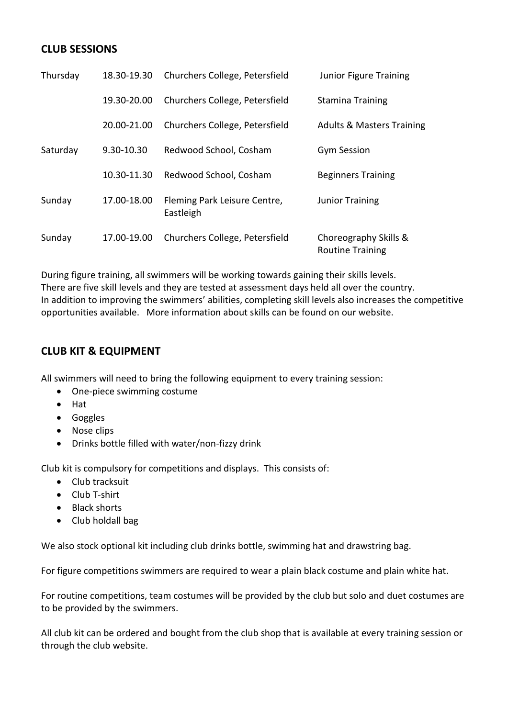# **CLUB SESSIONS**

| Thursday | 18.30-19.30 | Churchers College, Petersfield            | Junior Figure Training                           |
|----------|-------------|-------------------------------------------|--------------------------------------------------|
|          | 19.30-20.00 | Churchers College, Petersfield            | <b>Stamina Training</b>                          |
|          | 20.00-21.00 | Churchers College, Petersfield            | <b>Adults &amp; Masters Training</b>             |
| Saturday | 9.30-10.30  | Redwood School, Cosham                    | <b>Gym Session</b>                               |
|          | 10.30-11.30 | Redwood School, Cosham                    | <b>Beginners Training</b>                        |
| Sunday   | 17.00-18.00 | Fleming Park Leisure Centre,<br>Eastleigh | <b>Junior Training</b>                           |
| Sunday   | 17.00-19.00 | Churchers College, Petersfield            | Choreography Skills &<br><b>Routine Training</b> |

During figure training, all swimmers will be working towards gaining their skills levels. There are five skill levels and they are tested at assessment days held all over the country. In addition to improving the swimmers' abilities, completing skill levels also increases the competitive opportunities available. More information about skills can be found on our website.

# **CLUB KIT & EQUIPMENT**

All swimmers will need to bring the following equipment to every training session:

- One-piece swimming costume
- Hat
- **•** Goggles
- Nose clips
- Drinks bottle filled with water/non-fizzy drink

Club kit is compulsory for competitions and displays. This consists of:

- Club tracksuit
- Club T-shirt
- Black shorts
- Club holdall bag

We also stock optional kit including club drinks bottle, swimming hat and drawstring bag.

For figure competitions swimmers are required to wear a plain black costume and plain white hat.

For routine competitions, team costumes will be provided by the club but solo and duet costumes are to be provided by the swimmers.

All club kit can be ordered and bought from the club shop that is available at every training session or through the club website.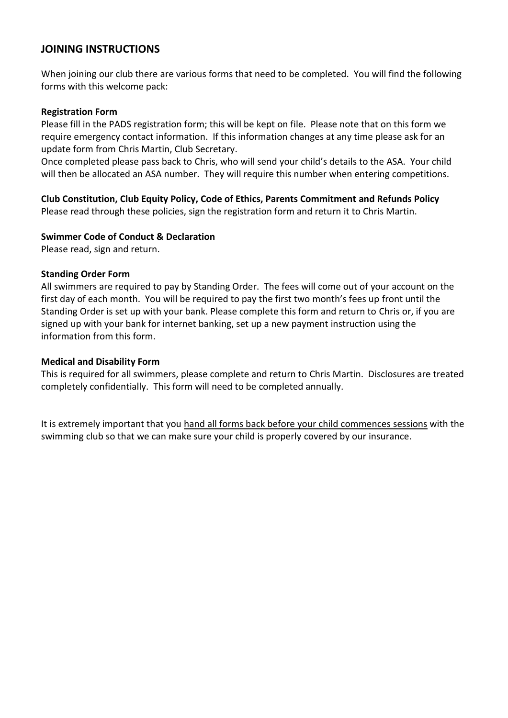## **JOINING INSTRUCTIONS**

When joining our club there are various forms that need to be completed. You will find the following forms with this welcome pack:

#### **Registration Form**

Please fill in the PADS registration form; this will be kept on file. Please note that on this form we require emergency contact information. If this information changes at any time please ask for an update form from Chris Martin, Club Secretary.

Once completed please pass back to Chris, who will send your child's details to the ASA. Your child will then be allocated an ASA number. They will require this number when entering competitions.

**Club Constitution, Club Equity Policy, Code of Ethics, Parents Commitment and Refunds Policy** Please read through these policies, sign the registration form and return it to Chris Martin.

#### **Swimmer Code of Conduct & Declaration**

Please read, sign and return.

#### **Standing Order Form**

All swimmers are required to pay by Standing Order. The fees will come out of your account on the first day of each month. You will be required to pay the first two month's fees up front until the Standing Order is set up with your bank. Please complete this form and return to Chris or, if you are signed up with your bank for internet banking, set up a new payment instruction using the information from this form.

#### **Medical and Disability Form**

This is required for all swimmers, please complete and return to Chris Martin. Disclosures are treated completely confidentially. This form will need to be completed annually.

It is extremely important that you hand all forms back before your child commences sessions with the swimming club so that we can make sure your child is properly covered by our insurance.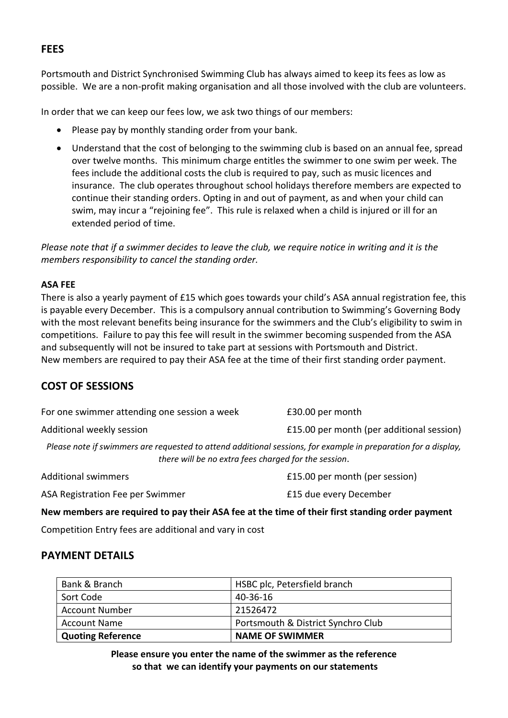# **FEES**

Portsmouth and District Synchronised Swimming Club has always aimed to keep its fees as low as possible. We are a non-profit making organisation and all those involved with the club are volunteers.

In order that we can keep our fees low, we ask two things of our members:

- Please pay by monthly standing order from your bank.
- Understand that the cost of belonging to the swimming club is based on an annual fee, spread over twelve months. This minimum charge entitles the swimmer to one swim per week. The fees include the additional costs the club is required to pay, such as music licences and insurance. The club operates throughout school holidays therefore members are expected to continue their standing orders. Opting in and out of payment, as and when your child can swim, may incur a "rejoining fee". This rule is relaxed when a child is injured or ill for an extended period of time.

*Please note that if a swimmer decides to leave the club, we require notice in writing and it is the members responsibility to cancel the standing order.* 

#### **ASA FEE**

There is also a yearly payment of £15 which goes towards your child's ASA annual registration fee, this is payable every December. This is a compulsory annual contribution to Swimming's Governing Body with the most relevant benefits being insurance for the swimmers and the Club's eligibility to swim in competitions. Failure to pay this fee will result in the swimmer becoming suspended from the ASA and subsequently will not be insured to take part at sessions with Portsmouth and District. New members are required to pay their ASA fee at the time of their first standing order payment.

# **COST OF SESSIONS**

| For one swimmer attending one session a week                                                                   | £30.00 per month                          |  |
|----------------------------------------------------------------------------------------------------------------|-------------------------------------------|--|
| Additional weekly session                                                                                      | £15.00 per month (per additional session) |  |
| Please note if swimmers are requested to attend additional sessions, for example in preparation for a display, |                                           |  |
| there will be no extra fees charged for the session.                                                           |                                           |  |
| <b>Additional swimmers</b>                                                                                     | £15.00 per month (per session)            |  |

ASA Registration Fee per Swimmer **E15** due every December

**New members are required to pay their ASA fee at the time of their first standing order payment**

Competition Entry fees are additional and vary in cost

### **PAYMENT DETAILS**

| Bank & Branch            | HSBC plc, Petersfield branch       |
|--------------------------|------------------------------------|
| Sort Code                | 40-36-16                           |
| <b>Account Number</b>    | 21526472                           |
| <b>Account Name</b>      | Portsmouth & District Synchro Club |
| <b>Quoting Reference</b> | <b>NAME OF SWIMMER</b>             |

**Please ensure you enter the name of the swimmer as the reference so that we can identify your payments on our statements**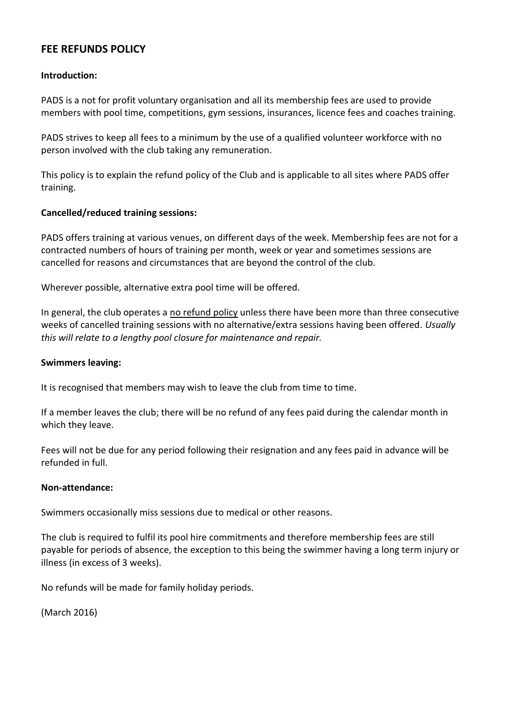# **FEE REFUNDS POLICY**

### **Introduction:**

PADS is a not for profit voluntary organisation and all its membership fees are used to provide members with pool time, competitions, gym sessions, insurances, licence fees and coaches training.

PADS strives to keep all fees to a minimum by the use of a qualified volunteer workforce with no person involved with the club taking any remuneration.

This policy is to explain the refund policy of the Club and is applicable to all sites where PADS offer training.

### **Cancelled/reduced training sessions:**

PADS offers training at various venues, on different days of the week. Membership fees are not for a contracted numbers of hours of training per month, week or year and sometimes sessions are cancelled for reasons and circumstances that are beyond the control of the club.

Wherever possible, alternative extra pool time will be offered.

In general, the club operates a no refund policy unless there have been more than three consecutive weeks of cancelled training sessions with no alternative/extra sessions having been offered. *Usually this will relate to a lengthy pool closure for maintenance and repair.*

#### **Swimmers leaving:**

It is recognised that members may wish to leave the club from time to time.

If a member leaves the club; there will be no refund of any fees paid during the calendar month in which they leave.

Fees will not be due for any period following their resignation and any fees paid in advance will be refunded in full.

#### **Non-attendance:**

Swimmers occasionally miss sessions due to medical or other reasons.

The club is required to fulfil its pool hire commitments and therefore membership fees are still payable for periods of absence, the exception to this being the swimmer having a long term injury or illness (in excess of 3 weeks).

No refunds will be made for family holiday periods.

(March 2016)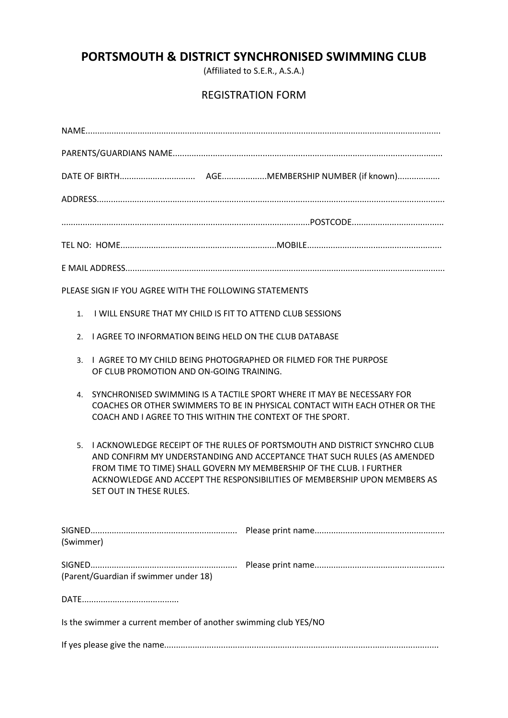# **PORTSMOUTH & DISTRICT SYNCHRONISED SWIMMING CLUB**

(Affiliated to S.E.R., A.S.A.)

# REGISTRATION FORM

| PLEASE SIGN IF YOU AGREE WITH THE FOLLOWING STATEMENTS                                                                                                                                                                                                                                                                                      |  |
|---------------------------------------------------------------------------------------------------------------------------------------------------------------------------------------------------------------------------------------------------------------------------------------------------------------------------------------------|--|
| I WILL ENSURE THAT MY CHILD IS FIT TO ATTEND CLUB SESSIONS<br>$1_{-}$                                                                                                                                                                                                                                                                       |  |
| I AGREE TO INFORMATION BEING HELD ON THE CLUB DATABASE<br>2.                                                                                                                                                                                                                                                                                |  |
| L AGREE TO MY CHILD BEING PHOTOGRAPHED OR FILMED FOR THE PURPOSE<br>3.<br>OF CLUB PROMOTION AND ON-GOING TRAINING.                                                                                                                                                                                                                          |  |
| SYNCHRONISED SWIMMING IS A TACTILE SPORT WHERE IT MAY BE NECESSARY FOR<br>4.<br>COACHES OR OTHER SWIMMERS TO BE IN PHYSICAL CONTACT WITH EACH OTHER OR THE<br>COACH AND I AGREE TO THIS WITHIN THE CONTEXT OF THE SPORT.                                                                                                                    |  |
| I ACKNOWLEDGE RECEIPT OF THE RULES OF PORTSMOUTH AND DISTRICT SYNCHRO CLUB<br>5.<br>AND CONFIRM MY UNDERSTANDING AND ACCEPTANCE THAT SUCH RULES (AS AMENDED<br>FROM TIME TO TIME) SHALL GOVERN MY MEMBERSHIP OF THE CLUB. I FURTHER<br>ACKNOWLEDGE AND ACCEPT THE RESPONSIBILITIES OF MEMBERSHIP UPON MEMBERS AS<br>SET OUT IN THESE RULES. |  |
| (Swimmer)                                                                                                                                                                                                                                                                                                                                   |  |
| (Parent/Guardian if swimmer under 18)                                                                                                                                                                                                                                                                                                       |  |
|                                                                                                                                                                                                                                                                                                                                             |  |
| Is the swimmer a current member of another swimming club YES/NO                                                                                                                                                                                                                                                                             |  |
|                                                                                                                                                                                                                                                                                                                                             |  |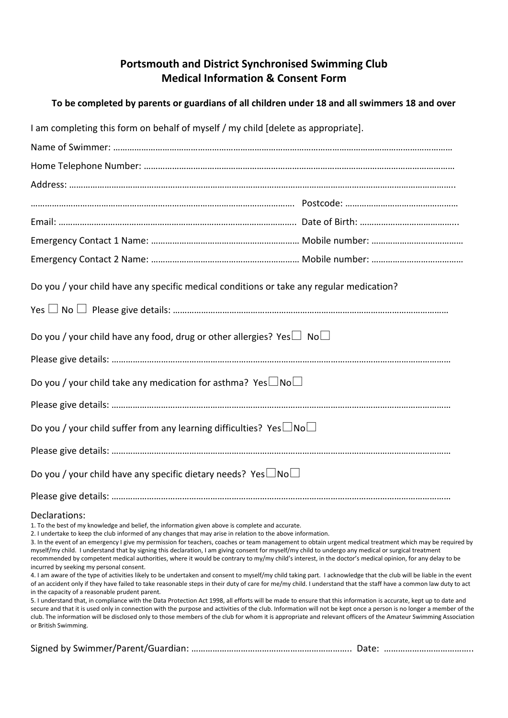# **Portsmouth and District Synchronised Swimming Club Medical Information & Consent Form**

# **To be completed by parents or guardians of all children under 18 and all swimmers 18 and over**

| I am completing this form on behalf of myself / my child [delete as appropriate].                                                                                                                                                                                                                                                                                                                                                                                                                                                                                                                                                                                                                                                                                                                                                                                                                                                                                                                                                                                                                                                                                                                                                                                                                                                                                                                                                                                                                                                                                                                                                                                                                 |  |
|---------------------------------------------------------------------------------------------------------------------------------------------------------------------------------------------------------------------------------------------------------------------------------------------------------------------------------------------------------------------------------------------------------------------------------------------------------------------------------------------------------------------------------------------------------------------------------------------------------------------------------------------------------------------------------------------------------------------------------------------------------------------------------------------------------------------------------------------------------------------------------------------------------------------------------------------------------------------------------------------------------------------------------------------------------------------------------------------------------------------------------------------------------------------------------------------------------------------------------------------------------------------------------------------------------------------------------------------------------------------------------------------------------------------------------------------------------------------------------------------------------------------------------------------------------------------------------------------------------------------------------------------------------------------------------------------------|--|
|                                                                                                                                                                                                                                                                                                                                                                                                                                                                                                                                                                                                                                                                                                                                                                                                                                                                                                                                                                                                                                                                                                                                                                                                                                                                                                                                                                                                                                                                                                                                                                                                                                                                                                   |  |
|                                                                                                                                                                                                                                                                                                                                                                                                                                                                                                                                                                                                                                                                                                                                                                                                                                                                                                                                                                                                                                                                                                                                                                                                                                                                                                                                                                                                                                                                                                                                                                                                                                                                                                   |  |
|                                                                                                                                                                                                                                                                                                                                                                                                                                                                                                                                                                                                                                                                                                                                                                                                                                                                                                                                                                                                                                                                                                                                                                                                                                                                                                                                                                                                                                                                                                                                                                                                                                                                                                   |  |
|                                                                                                                                                                                                                                                                                                                                                                                                                                                                                                                                                                                                                                                                                                                                                                                                                                                                                                                                                                                                                                                                                                                                                                                                                                                                                                                                                                                                                                                                                                                                                                                                                                                                                                   |  |
|                                                                                                                                                                                                                                                                                                                                                                                                                                                                                                                                                                                                                                                                                                                                                                                                                                                                                                                                                                                                                                                                                                                                                                                                                                                                                                                                                                                                                                                                                                                                                                                                                                                                                                   |  |
|                                                                                                                                                                                                                                                                                                                                                                                                                                                                                                                                                                                                                                                                                                                                                                                                                                                                                                                                                                                                                                                                                                                                                                                                                                                                                                                                                                                                                                                                                                                                                                                                                                                                                                   |  |
|                                                                                                                                                                                                                                                                                                                                                                                                                                                                                                                                                                                                                                                                                                                                                                                                                                                                                                                                                                                                                                                                                                                                                                                                                                                                                                                                                                                                                                                                                                                                                                                                                                                                                                   |  |
| Do you / your child have any specific medical conditions or take any regular medication?                                                                                                                                                                                                                                                                                                                                                                                                                                                                                                                                                                                                                                                                                                                                                                                                                                                                                                                                                                                                                                                                                                                                                                                                                                                                                                                                                                                                                                                                                                                                                                                                          |  |
|                                                                                                                                                                                                                                                                                                                                                                                                                                                                                                                                                                                                                                                                                                                                                                                                                                                                                                                                                                                                                                                                                                                                                                                                                                                                                                                                                                                                                                                                                                                                                                                                                                                                                                   |  |
| Do you / your child have any food, drug or other allergies? Yes $\Box$ No $\Box$                                                                                                                                                                                                                                                                                                                                                                                                                                                                                                                                                                                                                                                                                                                                                                                                                                                                                                                                                                                                                                                                                                                                                                                                                                                                                                                                                                                                                                                                                                                                                                                                                  |  |
|                                                                                                                                                                                                                                                                                                                                                                                                                                                                                                                                                                                                                                                                                                                                                                                                                                                                                                                                                                                                                                                                                                                                                                                                                                                                                                                                                                                                                                                                                                                                                                                                                                                                                                   |  |
| Do you / your child take any medication for asthma? Yes $\Box$ No $\Box$                                                                                                                                                                                                                                                                                                                                                                                                                                                                                                                                                                                                                                                                                                                                                                                                                                                                                                                                                                                                                                                                                                                                                                                                                                                                                                                                                                                                                                                                                                                                                                                                                          |  |
|                                                                                                                                                                                                                                                                                                                                                                                                                                                                                                                                                                                                                                                                                                                                                                                                                                                                                                                                                                                                                                                                                                                                                                                                                                                                                                                                                                                                                                                                                                                                                                                                                                                                                                   |  |
| Do you / your child suffer from any learning difficulties? Yes $\Box$ No $\Box$                                                                                                                                                                                                                                                                                                                                                                                                                                                                                                                                                                                                                                                                                                                                                                                                                                                                                                                                                                                                                                                                                                                                                                                                                                                                                                                                                                                                                                                                                                                                                                                                                   |  |
|                                                                                                                                                                                                                                                                                                                                                                                                                                                                                                                                                                                                                                                                                                                                                                                                                                                                                                                                                                                                                                                                                                                                                                                                                                                                                                                                                                                                                                                                                                                                                                                                                                                                                                   |  |
| Do you / your child have any specific dietary needs? Yes $\Box$ No $\Box$                                                                                                                                                                                                                                                                                                                                                                                                                                                                                                                                                                                                                                                                                                                                                                                                                                                                                                                                                                                                                                                                                                                                                                                                                                                                                                                                                                                                                                                                                                                                                                                                                         |  |
|                                                                                                                                                                                                                                                                                                                                                                                                                                                                                                                                                                                                                                                                                                                                                                                                                                                                                                                                                                                                                                                                                                                                                                                                                                                                                                                                                                                                                                                                                                                                                                                                                                                                                                   |  |
| Declarations:<br>1. To the best of my knowledge and belief, the information given above is complete and accurate.<br>2. I undertake to keep the club informed of any changes that may arise in relation to the above information.<br>3. In the event of an emergency I give my permission for teachers, coaches or team management to obtain urgent medical treatment which may be required by<br>myself/my child. I understand that by signing this declaration, I am giving consent for myself/my child to undergo any medical or surgical treatment<br>recommended by competent medical authorities, where it would be contrary to my/my child's interest, in the doctor's medical opinion, for any delay to be<br>incurred by seeking my personal consent.<br>4. I am aware of the type of activities likely to be undertaken and consent to myself/my child taking part. I acknowledge that the club will be liable in the event<br>of an accident only if they have failed to take reasonable steps in their duty of care for me/my child. I understand that the staff have a common law duty to act<br>in the capacity of a reasonable prudent parent.<br>5. I understand that, in compliance with the Data Protection Act 1998, all efforts will be made to ensure that this information is accurate, kept up to date and<br>secure and that it is used only in connection with the purpose and activities of the club. Information will not be kept once a person is no longer a member of the<br>club. The information will be disclosed only to those members of the club for whom it is appropriate and relevant officers of the Amateur Swimming Association<br>or British Swimming. |  |
|                                                                                                                                                                                                                                                                                                                                                                                                                                                                                                                                                                                                                                                                                                                                                                                                                                                                                                                                                                                                                                                                                                                                                                                                                                                                                                                                                                                                                                                                                                                                                                                                                                                                                                   |  |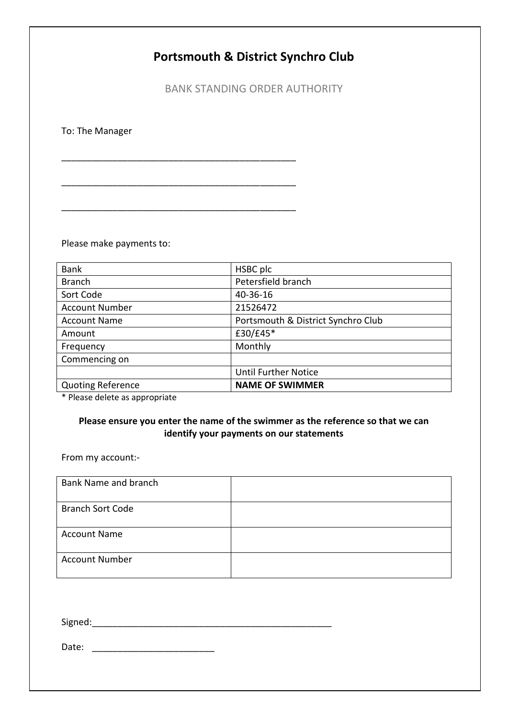# **Portsmouth & District Synchro Club**

BANK STANDING ORDER AUTHORITY

To: The Manager

Please make payments to:

\_\_\_\_\_\_\_\_\_\_\_\_\_\_\_\_\_\_\_\_\_\_\_\_\_\_\_\_\_\_\_\_\_\_\_\_\_\_\_\_\_\_\_\_\_\_

\_\_\_\_\_\_\_\_\_\_\_\_\_\_\_\_\_\_\_\_\_\_\_\_\_\_\_\_\_\_\_\_\_\_\_\_\_\_\_\_\_\_\_\_\_\_

\_\_\_\_\_\_\_\_\_\_\_\_\_\_\_\_\_\_\_\_\_\_\_\_\_\_\_\_\_\_\_\_\_\_\_\_\_\_\_\_\_\_\_\_\_\_

| <b>Bank</b>              | HSBC plc                           |
|--------------------------|------------------------------------|
| <b>Branch</b>            | Petersfield branch                 |
| Sort Code                | 40-36-16                           |
| <b>Account Number</b>    | 21526472                           |
| <b>Account Name</b>      | Portsmouth & District Synchro Club |
| Amount                   | £30/£45*                           |
| Frequency                | Monthly                            |
| Commencing on            |                                    |
|                          | <b>Until Further Notice</b>        |
| <b>Quoting Reference</b> | <b>NAME OF SWIMMER</b>             |

\* Please delete as appropriate

### **Please ensure you enter the name of the swimmer as the reference so that we can identify your payments on our statements**

From my account:-

| Bank Name and branch    |  |
|-------------------------|--|
| <b>Branch Sort Code</b> |  |
| <b>Account Name</b>     |  |
| <b>Account Number</b>   |  |

Signed:\_\_\_\_\_\_\_\_\_\_\_\_\_\_\_\_\_\_\_\_\_\_\_\_\_\_\_\_\_\_\_\_\_\_\_\_\_\_\_\_\_\_\_\_\_\_\_

Date: \_\_\_\_\_\_\_\_\_\_\_\_\_\_\_\_\_\_\_\_\_\_\_\_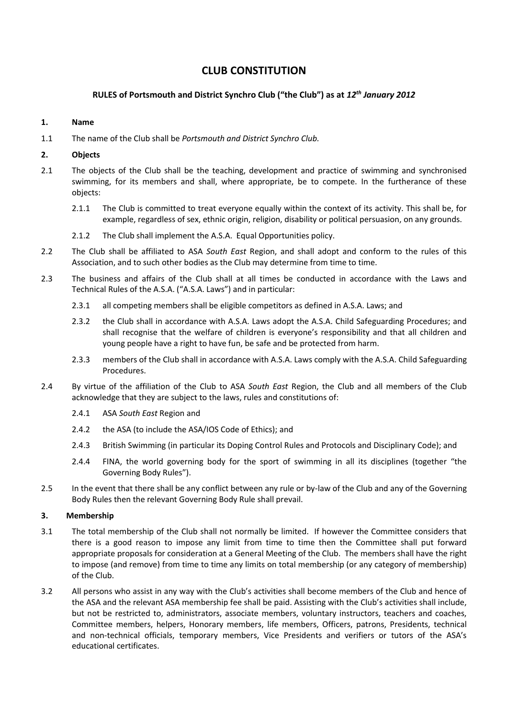# **CLUB CONSTITUTION**

#### **RULES of Portsmouth and District Synchro Club ("the Club") as at** *12th January 2012*

#### **1. Name**

1.1 The name of the Club shall be *Portsmouth and District Synchro Club.*

#### **2. Objects**

- 2.1 The objects of the Club shall be the teaching, development and practice of swimming and synchronised swimming, for its members and shall, where appropriate, be to compete. In the furtherance of these objects:
	- 2.1.1 The Club is committed to treat everyone equally within the context of its activity. This shall be, for example, regardless of sex, ethnic origin, religion, disability or political persuasion, on any grounds.
	- 2.1.2 The Club shall implement the A.S.A. Equal Opportunities policy.
- 2.2 The Club shall be affiliated to ASA *South East* Region, and shall adopt and conform to the rules of this Association, and to such other bodies as the Club may determine from time to time.
- 2.3 The business and affairs of the Club shall at all times be conducted in accordance with the Laws and Technical Rules of the A.S.A. ("A.S.A. Laws") and in particular:
	- 2.3.1 all competing members shall be eligible competitors as defined in A.S.A. Laws; and
	- 2.3.2 the Club shall in accordance with A.S.A. Laws adopt the A.S.A. Child Safeguarding Procedures; and shall recognise that the welfare of children is everyone's responsibility and that all children and young people have a right to have fun, be safe and be protected from harm.
	- 2.3.3 members of the Club shall in accordance with A.S.A. Laws comply with the A.S.A. Child Safeguarding Procedures.
- 2.4 By virtue of the affiliation of the Club to ASA *South East* Region, the Club and all members of the Club acknowledge that they are subject to the laws, rules and constitutions of:
	- 2.4.1 ASA *South East* Region and
	- 2.4.2 the ASA (to include the ASA/IOS Code of Ethics); and
	- 2.4.3 British Swimming (in particular its Doping Control Rules and Protocols and Disciplinary Code); and
	- 2.4.4 FINA, the world governing body for the sport of swimming in all its disciplines (together "the Governing Body Rules").
- 2.5 In the event that there shall be any conflict between any rule or by-law of the Club and any of the Governing Body Rules then the relevant Governing Body Rule shall prevail.

#### **3. Membership**

- 3.1 The total membership of the Club shall not normally be limited. If however the Committee considers that there is a good reason to impose any limit from time to time then the Committee shall put forward appropriate proposals for consideration at a General Meeting of the Club. The members shall have the right to impose (and remove) from time to time any limits on total membership (or any category of membership) of the Club.
- 3.2 All persons who assist in any way with the Club's activities shall become members of the Club and hence of the ASA and the relevant ASA membership fee shall be paid. Assisting with the Club's activities shall include, but not be restricted to, administrators, associate members, voluntary instructors, teachers and coaches, Committee members, helpers, Honorary members, life members, Officers, patrons, Presidents, technical and non-technical officials, temporary members, Vice Presidents and verifiers or tutors of the ASA's educational certificates.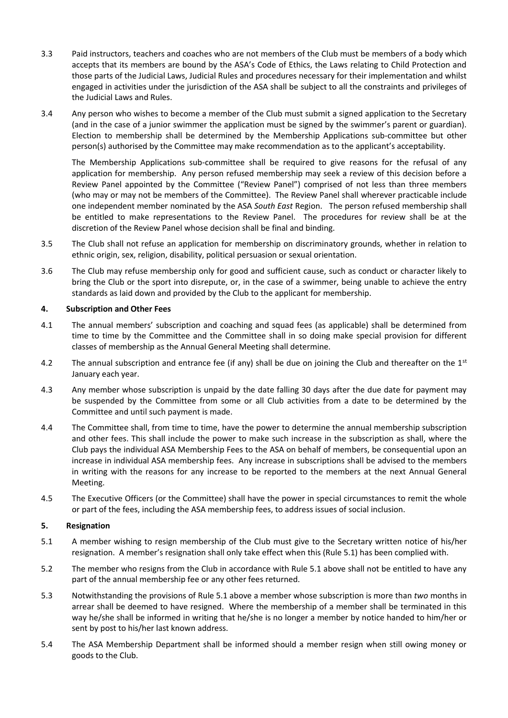- 3.3 Paid instructors, teachers and coaches who are not members of the Club must be members of a body which accepts that its members are bound by the ASA's Code of Ethics, the Laws relating to Child Protection and those parts of the Judicial Laws, Judicial Rules and procedures necessary for their implementation and whilst engaged in activities under the jurisdiction of the ASA shall be subject to all the constraints and privileges of the Judicial Laws and Rules.
- 3.4 Any person who wishes to become a member of the Club must submit a signed application to the Secretary (and in the case of a junior swimmer the application must be signed by the swimmer's parent or guardian). Election to membership shall be determined by the Membership Applications sub-committee but other person(s) authorised by the Committee may make recommendation as to the applicant's acceptability.

The Membership Applications sub-committee shall be required to give reasons for the refusal of any application for membership. Any person refused membership may seek a review of this decision before a Review Panel appointed by the Committee ("Review Panel") comprised of not less than three members (who may or may not be members of the Committee). The Review Panel shall wherever practicable include one independent member nominated by the ASA *South East* Region. The person refused membership shall be entitled to make representations to the Review Panel. The procedures for review shall be at the discretion of the Review Panel whose decision shall be final and binding.

- 3.5 The Club shall not refuse an application for membership on discriminatory grounds, whether in relation to ethnic origin, sex, religion, disability, political persuasion or sexual orientation.
- 3.6 The Club may refuse membership only for good and sufficient cause, such as conduct or character likely to bring the Club or the sport into disrepute, or, in the case of a swimmer, being unable to achieve the entry standards as laid down and provided by the Club to the applicant for membership.

#### **4. Subscription and Other Fees**

- 4.1 The annual members' subscription and coaching and squad fees (as applicable) shall be determined from time to time by the Committee and the Committee shall in so doing make special provision for different classes of membership as the Annual General Meeting shall determine.
- 4.2 The annual subscription and entrance fee (if any) shall be due on joining the Club and thereafter on the  $1<sup>st</sup>$ January each year.
- 4.3 Any member whose subscription is unpaid by the date falling 30 days after the due date for payment may be suspended by the Committee from some or all Club activities from a date to be determined by the Committee and until such payment is made.
- 4.4 The Committee shall, from time to time, have the power to determine the annual membership subscription and other fees. This shall include the power to make such increase in the subscription as shall, where the Club pays the individual ASA Membership Fees to the ASA on behalf of members, be consequential upon an increase in individual ASA membership fees. Any increase in subscriptions shall be advised to the members in writing with the reasons for any increase to be reported to the members at the next Annual General Meeting.
- 4.5 The Executive Officers (or the Committee) shall have the power in special circumstances to remit the whole or part of the fees, including the ASA membership fees, to address issues of social inclusion.

#### **5. Resignation**

- 5.1 A member wishing to resign membership of the Club must give to the Secretary written notice of his/her resignation. A member's resignation shall only take effect when this (Rule 5.1) has been complied with.
- 5.2 The member who resigns from the Club in accordance with Rule 5.1 above shall not be entitled to have any part of the annual membership fee or any other fees returned.
- 5.3 Notwithstanding the provisions of Rule 5.1 above a member whose subscription is more than *two* months in arrear shall be deemed to have resigned. Where the membership of a member shall be terminated in this way he/she shall be informed in writing that he/she is no longer a member by notice handed to him/her or sent by post to his/her last known address.
- 5.4 The ASA Membership Department shall be informed should a member resign when still owing money or goods to the Club.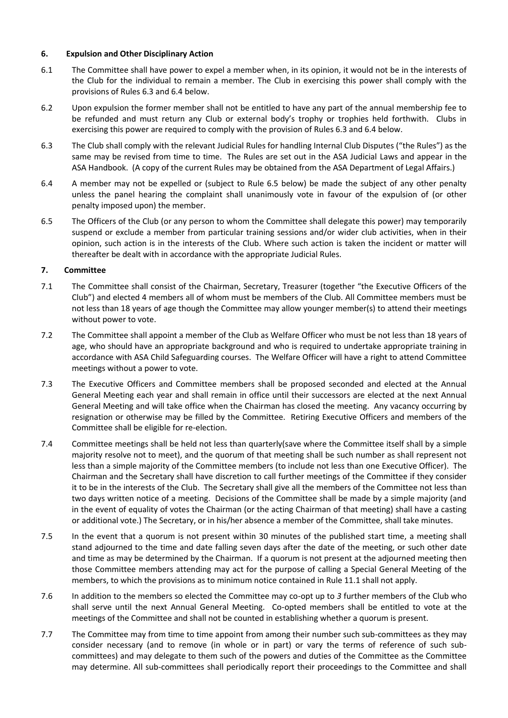#### **6. Expulsion and Other Disciplinary Action**

- 6.1 The Committee shall have power to expel a member when, in its opinion, it would not be in the interests of the Club for the individual to remain a member. The Club in exercising this power shall comply with the provisions of Rules 6.3 and 6.4 below.
- 6.2 Upon expulsion the former member shall not be entitled to have any part of the annual membership fee to be refunded and must return any Club or external body's trophy or trophies held forthwith. Clubs in exercising this power are required to comply with the provision of Rules 6.3 and 6.4 below.
- 6.3 The Club shall comply with the relevant Judicial Rules for handling Internal Club Disputes ("the Rules") as the same may be revised from time to time. The Rules are set out in the ASA Judicial Laws and appear in the ASA Handbook. (A copy of the current Rules may be obtained from the ASA Department of Legal Affairs.)
- 6.4 A member may not be expelled or (subject to Rule 6.5 below) be made the subject of any other penalty unless the panel hearing the complaint shall unanimously vote in favour of the expulsion of (or other penalty imposed upon) the member.
- 6.5 The Officers of the Club (or any person to whom the Committee shall delegate this power) may temporarily suspend or exclude a member from particular training sessions and/or wider club activities, when in their opinion, such action is in the interests of the Club. Where such action is taken the incident or matter will thereafter be dealt with in accordance with the appropriate Judicial Rules.

#### **7. Committee**

- 7.1 The Committee shall consist of the Chairman, Secretary, Treasurer (together "the Executive Officers of the Club") and elected 4 members all of whom must be members of the Club. All Committee members must be not less than 18 years of age though the Committee may allow younger member(s) to attend their meetings without power to vote.
- 7.2 The Committee shall appoint a member of the Club as Welfare Officer who must be not less than 18 years of age, who should have an appropriate background and who is required to undertake appropriate training in accordance with ASA Child Safeguarding courses. The Welfare Officer will have a right to attend Committee meetings without a power to vote.
- 7.3 The Executive Officers and Committee members shall be proposed seconded and elected at the Annual General Meeting each year and shall remain in office until their successors are elected at the next Annual General Meeting and will take office when the Chairman has closed the meeting. Any vacancy occurring by resignation or otherwise may be filled by the Committee. Retiring Executive Officers and members of the Committee shall be eligible for re-election.
- 7.4 Committee meetings shall be held not less than quarterly(save where the Committee itself shall by a simple majority resolve not to meet), and the quorum of that meeting shall be such number as shall represent not less than a simple majority of the Committee members (to include not less than one Executive Officer). The Chairman and the Secretary shall have discretion to call further meetings of the Committee if they consider it to be in the interests of the Club. The Secretary shall give all the members of the Committee not less than two days written notice of a meeting. Decisions of the Committee shall be made by a simple majority (and in the event of equality of votes the Chairman (or the acting Chairman of that meeting) shall have a casting or additional vote.) The Secretary, or in his/her absence a member of the Committee, shall take minutes.
- 7.5 In the event that a quorum is not present within 30 minutes of the published start time, a meeting shall stand adjourned to the time and date falling seven days after the date of the meeting, or such other date and time as may be determined by the Chairman. If a quorum is not present at the adjourned meeting then those Committee members attending may act for the purpose of calling a Special General Meeting of the members, to which the provisions as to minimum notice contained in Rule 11.1 shall not apply.
- 7.6 In addition to the members so elected the Committee may co-opt up to *3* further members of the Club who shall serve until the next Annual General Meeting. Co-opted members shall be entitled to vote at the meetings of the Committee and shall not be counted in establishing whether a quorum is present.
- 7.7 The Committee may from time to time appoint from among their number such sub-committees as they may consider necessary (and to remove (in whole or in part) or vary the terms of reference of such subcommittees) and may delegate to them such of the powers and duties of the Committee as the Committee may determine. All sub-committees shall periodically report their proceedings to the Committee and shall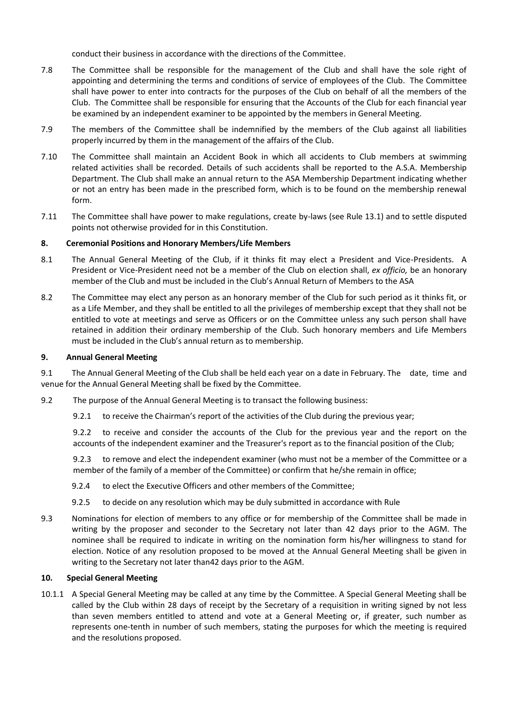conduct their business in accordance with the directions of the Committee.

- 7.8 The Committee shall be responsible for the management of the Club and shall have the sole right of appointing and determining the terms and conditions of service of employees of the Club. The Committee shall have power to enter into contracts for the purposes of the Club on behalf of all the members of the Club. The Committee shall be responsible for ensuring that the Accounts of the Club for each financial year be examined by an independent examiner to be appointed by the members in General Meeting.
- 7.9 The members of the Committee shall be indemnified by the members of the Club against all liabilities properly incurred by them in the management of the affairs of the Club.
- 7.10 The Committee shall maintain an Accident Book in which all accidents to Club members at swimming related activities shall be recorded. Details of such accidents shall be reported to the A.S.A. Membership Department. The Club shall make an annual return to the ASA Membership Department indicating whether or not an entry has been made in the prescribed form, which is to be found on the membership renewal form.
- 7.11 The Committee shall have power to make regulations, create by-laws (see Rule 13.1) and to settle disputed points not otherwise provided for in this Constitution.

#### **8. Ceremonial Positions and Honorary Members/Life Members**

- 8.1 The Annual General Meeting of the Club, if it thinks fit may elect a President and Vice-Presidents. A President or Vice-President need not be a member of the Club on election shall, *ex officio,* be an honorary member of the Club and must be included in the Club's Annual Return of Members to the ASA
- 8.2 The Committee may elect any person as an honorary member of the Club for such period as it thinks fit, or as a Life Member, and they shall be entitled to all the privileges of membership except that they shall not be entitled to vote at meetings and serve as Officers or on the Committee unless any such person shall have retained in addition their ordinary membership of the Club. Such honorary members and Life Members must be included in the Club's annual return as to membership.

#### **9. Annual General Meeting**

9.1 The Annual General Meeting of the Club shall be held each year on a date in February. The date, time and venue for the Annual General Meeting shall be fixed by the Committee.

- 9.2 The purpose of the Annual General Meeting is to transact the following business:
	- 9.2.1 to receive the Chairman's report of the activities of the Club during the previous year;

9.2.2 to receive and consider the accounts of the Club for the previous year and the report on the accounts of the independent examiner and the Treasurer's report as to the financial position of the Club;

9.2.3 to remove and elect the independent examiner (who must not be a member of the Committee or a member of the family of a member of the Committee) or confirm that he/she remain in office;

- 9.2.4 to elect the Executive Officers and other members of the Committee;
- 9.2.5 to decide on any resolution which may be duly submitted in accordance with Rule
- 9.3 Nominations for election of members to any office or for membership of the Committee shall be made in writing by the proposer and seconder to the Secretary not later than 42 days prior to the AGM. The nominee shall be required to indicate in writing on the nomination form his/her willingness to stand for election. Notice of any resolution proposed to be moved at the Annual General Meeting shall be given in writing to the Secretary not later than42 days prior to the AGM.

#### **10. Special General Meeting**

10.1.1 A Special General Meeting may be called at any time by the Committee. A Special General Meeting shall be called by the Club within 28 days of receipt by the Secretary of a requisition in writing signed by not less than seven members entitled to attend and vote at a General Meeting or, if greater, such number as represents one-tenth in number of such members, stating the purposes for which the meeting is required and the resolutions proposed.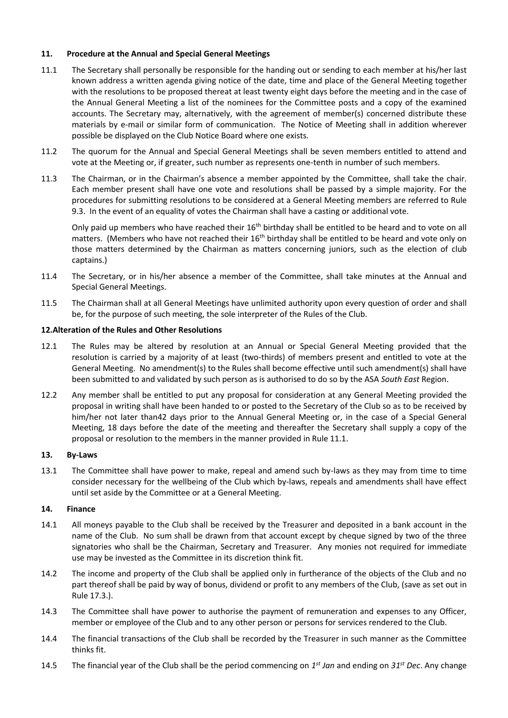#### **11. Procedure at the Annual and Special General Meetings**

- 11.1 The Secretary shall personally be responsible for the handing out or sending to each member at his/her last known address a written agenda giving notice of the date, time and place of the General Meeting together with the resolutions to be proposed thereat at least twenty eight days before the meeting and in the case of the Annual General Meeting a list of the nominees for the Committee posts and a copy of the examined accounts. The Secretary may, alternatively, with the agreement of member(s) concerned distribute these materials by e-mail or similar form of communication. The Notice of Meeting shall in addition wherever possible be displayed on the Club Notice Board where one exists.
- 11.2 The quorum for the Annual and Special General Meetings shall be seven members entitled to attend and vote at the Meeting or, if greater, such number as represents one-tenth in number of such members.
- 11.3 The Chairman, or in the Chairman's absence a member appointed by the Committee, shall take the chair. Each member present shall have one vote and resolutions shall be passed by a simple majority. For the procedures for submitting resolutions to be considered at a General Meeting members are referred to Rule 9.3. In the event of an equality of votes the Chairman shall have a casting or additional vote.

Only paid up members who have reached their 16<sup>th</sup> birthday shall be entitled to be heard and to vote on all matters. (Members who have not reached their  $16<sup>th</sup>$  birthday shall be entitled to be heard and vote only on those matters determined by the Chairman as matters concerning juniors, such as the election of club captains.)

- 11.4 The Secretary, or in his/her absence a member of the Committee, shall take minutes at the Annual and Special General Meetings.
- 11.5 The Chairman shall at all General Meetings have unlimited authority upon every question of order and shall be, for the purpose of such meeting, the sole interpreter of the Rules of the Club.

#### **12.Alteration of the Rules and Other Resolutions**

- 12.1 The Rules may be altered by resolution at an Annual or Special General Meeting provided that the resolution is carried by a majority of at least (two-thirds) of members present and entitled to vote at the General Meeting. No amendment(s) to the Rules shall become effective until such amendment(s) shall have been submitted to and validated by such person as is authorised to do so by the ASA *South East* Region.
- 12.2 Any member shall be entitled to put any proposal for consideration at any General Meeting provided the proposal in writing shall have been handed to or posted to the Secretary of the Club so as to be received by him/her not later than42 days prior to the Annual General Meeting or, in the case of a Special General Meeting, 18 days before the date of the meeting and thereafter the Secretary shall supply a copy of the proposal or resolution to the members in the manner provided in Rule 11.1.

#### **13. By-Laws**

13.1 The Committee shall have power to make, repeal and amend such by-laws as they may from time to time consider necessary for the wellbeing of the Club which by-laws, repeals and amendments shall have effect until set aside by the Committee or at a General Meeting.

#### **14. Finance**

- 14.1 All moneys payable to the Club shall be received by the Treasurer and deposited in a bank account in the name of the Club. No sum shall be drawn from that account except by cheque signed by two of the three signatories who shall be the Chairman, Secretary and Treasurer. Any monies not required for immediate use may be invested as the Committee in its discretion think fit.
- 14.2 The income and property of the Club shall be applied only in furtherance of the objects of the Club and no part thereof shall be paid by way of bonus, dividend or profit to any members of the Club, (save as set out in Rule 17.3.).
- 14.3 The Committee shall have power to authorise the payment of remuneration and expenses to any Officer, member or employee of the Club and to any other person or persons for services rendered to the Club.
- 14.4 The financial transactions of the Club shall be recorded by the Treasurer in such manner as the Committee thinks fit.
- 14.5 The financial year of the Club shall be the period commencing on *1 st Jan* and ending on *31st Dec*. Any change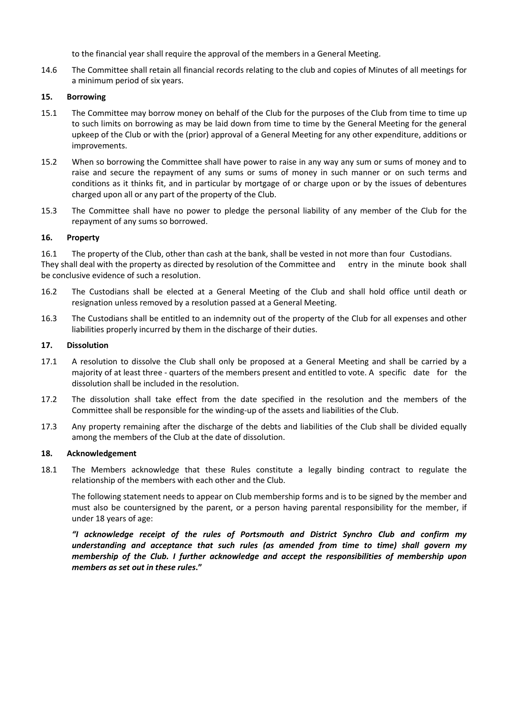to the financial year shall require the approval of the members in a General Meeting.

14.6 The Committee shall retain all financial records relating to the club and copies of Minutes of all meetings for a minimum period of six years.

#### **15. Borrowing**

- 15.1 The Committee may borrow money on behalf of the Club for the purposes of the Club from time to time up to such limits on borrowing as may be laid down from time to time by the General Meeting for the general upkeep of the Club or with the (prior) approval of a General Meeting for any other expenditure, additions or improvements.
- 15.2 When so borrowing the Committee shall have power to raise in any way any sum or sums of money and to raise and secure the repayment of any sums or sums of money in such manner or on such terms and conditions as it thinks fit, and in particular by mortgage of or charge upon or by the issues of debentures charged upon all or any part of the property of the Club.
- 15.3 The Committee shall have no power to pledge the personal liability of any member of the Club for the repayment of any sums so borrowed.

#### **16. Property**

16.1 The property of the Club, other than cash at the bank, shall be vested in not more than four Custodians. They shall deal with the property as directed by resolution of the Committee and entry in the minute book shall be conclusive evidence of such a resolution.

- 16.2 The Custodians shall be elected at a General Meeting of the Club and shall hold office until death or resignation unless removed by a resolution passed at a General Meeting.
- 16.3 The Custodians shall be entitled to an indemnity out of the property of the Club for all expenses and other liabilities properly incurred by them in the discharge of their duties.

#### **17. Dissolution**

- 17.1 A resolution to dissolve the Club shall only be proposed at a General Meeting and shall be carried by a majority of at least three - quarters of the members present and entitled to vote. A specific date for the dissolution shall be included in the resolution.
- 17.2 The dissolution shall take effect from the date specified in the resolution and the members of the Committee shall be responsible for the winding-up of the assets and liabilities of the Club.
- 17.3 Any property remaining after the discharge of the debts and liabilities of the Club shall be divided equally among the members of the Club at the date of dissolution.

#### **18. Acknowledgement**

18.1 The Members acknowledge that these Rules constitute a legally binding contract to regulate the relationship of the members with each other and the Club.

The following statement needs to appear on Club membership forms and is to be signed by the member and must also be countersigned by the parent, or a person having parental responsibility for the member, if under 18 years of age:

*"I acknowledge receipt of the rules of Portsmouth and District Synchro Club and confirm my understanding and acceptance that such rules (as amended from time to time) shall govern my membership of the Club. I further acknowledge and accept the responsibilities of membership upon members as set out in these rules***."**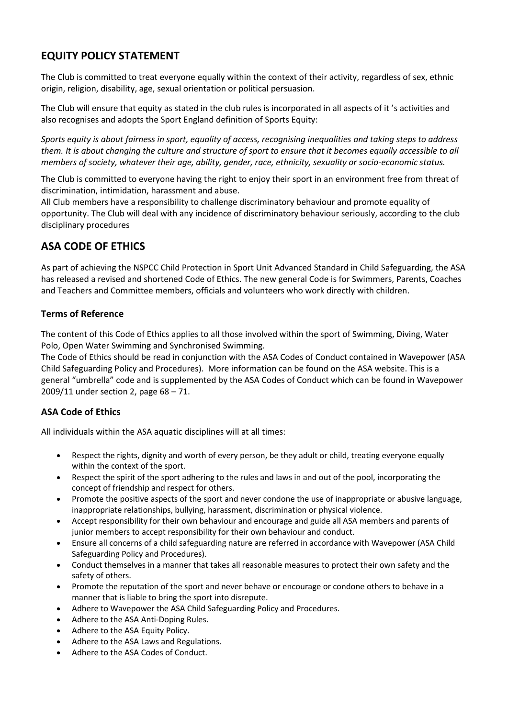# **EQUITY POLICY STATEMENT**

The Club is committed to treat everyone equally within the context of their activity, regardless of sex, ethnic origin, religion, disability, age, sexual orientation or political persuasion.

The Club will ensure that equity as stated in the club rules is incorporated in all aspects of it 's activities and also recognises and adopts the Sport England definition of Sports Equity:

*Sports equity is about fairness in sport, equality of access, recognising inequalities and taking steps to address them. It is about changing the culture and structure of sport to ensure that it becomes equally accessible to all members of society, whatever their age, ability, gender, race, ethnicity, sexuality or socio-economic status.*

The Club is committed to everyone having the right to enjoy their sport in an environment free from threat of discrimination, intimidation, harassment and abuse.

All Club members have a responsibility to challenge discriminatory behaviour and promote equality of opportunity. The Club will deal with any incidence of discriminatory behaviour seriously, according to the club disciplinary procedures

# **ASA CODE OF ETHICS**

As part of achieving the NSPCC Child Protection in Sport Unit Advanced Standard in Child Safeguarding, the ASA has released a revised and shortened Code of Ethics. The new general Code is for Swimmers, Parents, Coaches and Teachers and Committee members, officials and volunteers who work directly with children.

### **Terms of Reference**

The content of this Code of Ethics applies to all those involved within the sport of Swimming, Diving, Water Polo, Open Water Swimming and Synchronised Swimming.

The Code of Ethics should be read in conjunction with the ASA Codes of Conduct contained in Wavepower (ASA Child Safeguarding Policy and Procedures). More information can be found on the ASA website. This is a general "umbrella" code and is supplemented by the ASA Codes of Conduct which can be found in Wavepower 2009/11 under section 2, page 68 – 71.

# **ASA Code of Ethics**

All individuals within the ASA aquatic disciplines will at all times:

- Respect the rights, dignity and worth of every person, be they adult or child, treating everyone equally within the context of the sport.
- Respect the spirit of the sport adhering to the rules and laws in and out of the pool, incorporating the concept of friendship and respect for others.
- Promote the positive aspects of the sport and never condone the use of inappropriate or abusive language, inappropriate relationships, bullying, harassment, discrimination or physical violence.
- Accept responsibility for their own behaviour and encourage and guide all ASA members and parents of junior members to accept responsibility for their own behaviour and conduct.
- Ensure all concerns of a child safeguarding nature are referred in accordance with Wavepower (ASA Child Safeguarding Policy and Procedures).
- Conduct themselves in a manner that takes all reasonable measures to protect their own safety and the safety of others.
- Promote the reputation of the sport and never behave or encourage or condone others to behave in a manner that is liable to bring the sport into disrepute.
- Adhere to Wavepower the ASA Child Safeguarding Policy and Procedures.
- Adhere to the ASA Anti-Doping Rules.
- Adhere to the ASA Equity Policy.
- Adhere to the ASA Laws and Regulations.
- Adhere to the ASA Codes of Conduct.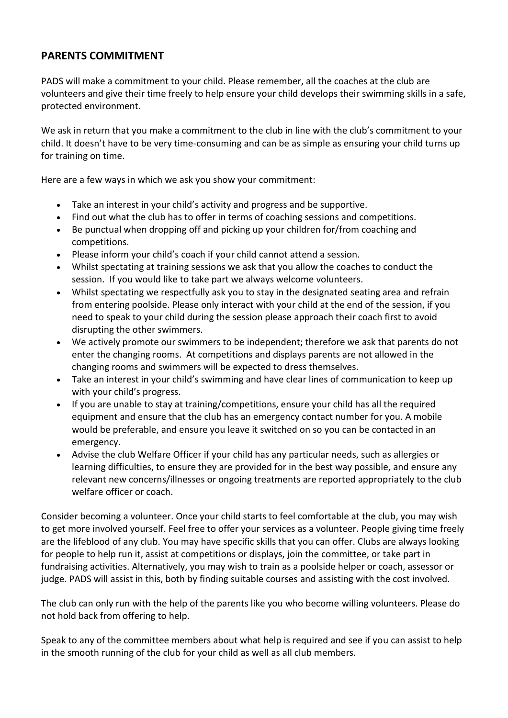# **PARENTS COMMITMENT**

PADS will make a commitment to your child. Please remember, all the coaches at the club are volunteers and give their time freely to help ensure your child develops their swimming skills in a safe, protected environment.

We ask in return that you make a commitment to the club in line with the club's commitment to your child. It doesn't have to be very time-consuming and can be as simple as ensuring your child turns up for training on time.

Here are a few ways in which we ask you show your commitment:

- Take an interest in your child's activity and progress and be supportive.
- Find out what the club has to offer in terms of coaching sessions and competitions.
- Be punctual when dropping off and picking up your children for/from coaching and competitions.
- Please inform your child's coach if your child cannot attend a session.
- Whilst spectating at training sessions we ask that you allow the coaches to conduct the session. If you would like to take part we always welcome volunteers.
- Whilst spectating we respectfully ask you to stay in the designated seating area and refrain from entering poolside. Please only interact with your child at the end of the session, if you need to speak to your child during the session please approach their coach first to avoid disrupting the other swimmers.
- We actively promote our swimmers to be independent; therefore we ask that parents do not enter the changing rooms. At competitions and displays parents are not allowed in the changing rooms and swimmers will be expected to dress themselves.
- Take an interest in your child's swimming and have clear lines of communication to keep up with your child's progress.
- If you are unable to stay at training/competitions, ensure your child has all the required equipment and ensure that the club has an emergency contact number for you. A mobile would be preferable, and ensure you leave it switched on so you can be contacted in an emergency.
- Advise the club Welfare Officer if your child has any particular needs, such as allergies or learning difficulties, to ensure they are provided for in the best way possible, and ensure any relevant new concerns/illnesses or ongoing treatments are reported appropriately to the club welfare officer or coach.

Consider becoming a volunteer. Once your child starts to feel comfortable at the club, you may wish to get more involved yourself. Feel free to offer your services as a volunteer. People giving time freely are the lifeblood of any club. You may have specific skills that you can offer. Clubs are always looking for people to help run it, assist at competitions or displays, join the committee, or take part in fundraising activities. Alternatively, you may wish to train as a poolside helper or coach, assessor or judge. PADS will assist in this, both by finding suitable courses and assisting with the cost involved.

The club can only run with the help of the parents like you who become willing volunteers. Please do not hold back from offering to help.

Speak to any of the committee members about what help is required and see if you can assist to help in the smooth running of the club for your child as well as all club members.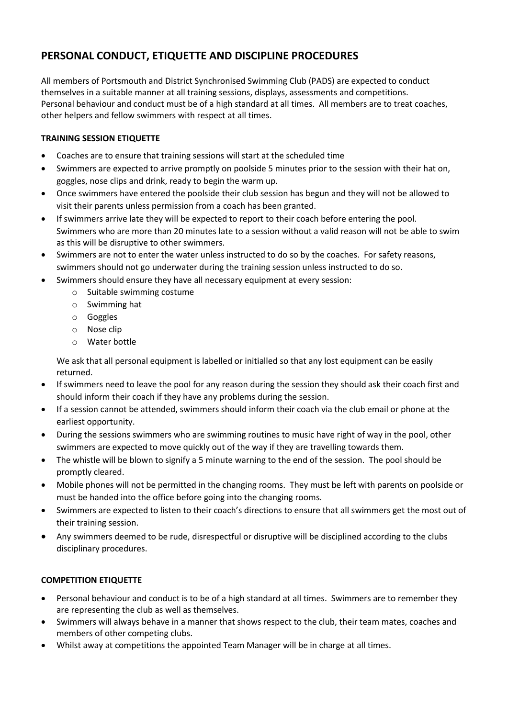# **PERSONAL CONDUCT, ETIQUETTE AND DISCIPLINE PROCEDURES**

All members of Portsmouth and District Synchronised Swimming Club (PADS) are expected to conduct themselves in a suitable manner at all training sessions, displays, assessments and competitions. Personal behaviour and conduct must be of a high standard at all times. All members are to treat coaches, other helpers and fellow swimmers with respect at all times.

### **TRAINING SESSION ETIQUETTE**

- Coaches are to ensure that training sessions will start at the scheduled time
- Swimmers are expected to arrive promptly on poolside 5 minutes prior to the session with their hat on, goggles, nose clips and drink, ready to begin the warm up.
- Once swimmers have entered the poolside their club session has begun and they will not be allowed to visit their parents unless permission from a coach has been granted.
- If swimmers arrive late they will be expected to report to their coach before entering the pool. Swimmers who are more than 20 minutes late to a session without a valid reason will not be able to swim as this will be disruptive to other swimmers.
- Swimmers are not to enter the water unless instructed to do so by the coaches. For safety reasons, swimmers should not go underwater during the training session unless instructed to do so.
- Swimmers should ensure they have all necessary equipment at every session:
	- o Suitable swimming costume
	- o Swimming hat
	- o Goggles
	- o Nose clip
	- o Water bottle

We ask that all personal equipment is labelled or initialled so that any lost equipment can be easily returned.

- If swimmers need to leave the pool for any reason during the session they should ask their coach first and should inform their coach if they have any problems during the session.
- If a session cannot be attended, swimmers should inform their coach via the club email or phone at the earliest opportunity.
- During the sessions swimmers who are swimming routines to music have right of way in the pool, other swimmers are expected to move quickly out of the way if they are travelling towards them.
- The whistle will be blown to signify a 5 minute warning to the end of the session. The pool should be promptly cleared.
- Mobile phones will not be permitted in the changing rooms. They must be left with parents on poolside or must be handed into the office before going into the changing rooms.
- Swimmers are expected to listen to their coach's directions to ensure that all swimmers get the most out of their training session.
- Any swimmers deemed to be rude, disrespectful or disruptive will be disciplined according to the clubs disciplinary procedures.

### **COMPETITION ETIQUETTE**

- Personal behaviour and conduct is to be of a high standard at all times. Swimmers are to remember they are representing the club as well as themselves.
- Swimmers will always behave in a manner that shows respect to the club, their team mates, coaches and members of other competing clubs.
- Whilst away at competitions the appointed Team Manager will be in charge at all times.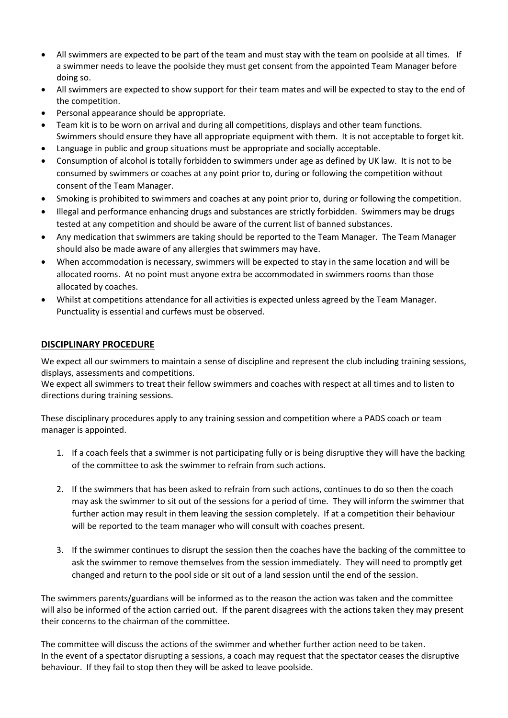- All swimmers are expected to be part of the team and must stay with the team on poolside at all times. If a swimmer needs to leave the poolside they must get consent from the appointed Team Manager before doing so.
- All swimmers are expected to show support for their team mates and will be expected to stay to the end of the competition.
- Personal appearance should be appropriate.
- Team kit is to be worn on arrival and during all competitions, displays and other team functions. Swimmers should ensure they have all appropriate equipment with them. It is not acceptable to forget kit.
- Language in public and group situations must be appropriate and socially acceptable.
- Consumption of alcohol is totally forbidden to swimmers under age as defined by UK law. It is not to be consumed by swimmers or coaches at any point prior to, during or following the competition without consent of the Team Manager.
- Smoking is prohibited to swimmers and coaches at any point prior to, during or following the competition.
- Illegal and performance enhancing drugs and substances are strictly forbidden. Swimmers may be drugs tested at any competition and should be aware of the current list of banned substances.
- Any medication that swimmers are taking should be reported to the Team Manager. The Team Manager should also be made aware of any allergies that swimmers may have.
- When accommodation is necessary, swimmers will be expected to stay in the same location and will be allocated rooms. At no point must anyone extra be accommodated in swimmers rooms than those allocated by coaches.
- Whilst at competitions attendance for all activities is expected unless agreed by the Team Manager. Punctuality is essential and curfews must be observed.

### **DISCIPLINARY PROCEDURE**

We expect all our swimmers to maintain a sense of discipline and represent the club including training sessions, displays, assessments and competitions.

We expect all swimmers to treat their fellow swimmers and coaches with respect at all times and to listen to directions during training sessions.

These disciplinary procedures apply to any training session and competition where a PADS coach or team manager is appointed.

- 1. If a coach feels that a swimmer is not participating fully or is being disruptive they will have the backing of the committee to ask the swimmer to refrain from such actions.
- 2. If the swimmers that has been asked to refrain from such actions, continues to do so then the coach may ask the swimmer to sit out of the sessions for a period of time. They will inform the swimmer that further action may result in them leaving the session completely. If at a competition their behaviour will be reported to the team manager who will consult with coaches present.
- 3. If the swimmer continues to disrupt the session then the coaches have the backing of the committee to ask the swimmer to remove themselves from the session immediately. They will need to promptly get changed and return to the pool side or sit out of a land session until the end of the session.

The swimmers parents/guardians will be informed as to the reason the action was taken and the committee will also be informed of the action carried out. If the parent disagrees with the actions taken they may present their concerns to the chairman of the committee.

The committee will discuss the actions of the swimmer and whether further action need to be taken. In the event of a spectator disrupting a sessions, a coach may request that the spectator ceases the disruptive behaviour. If they fail to stop then they will be asked to leave poolside.